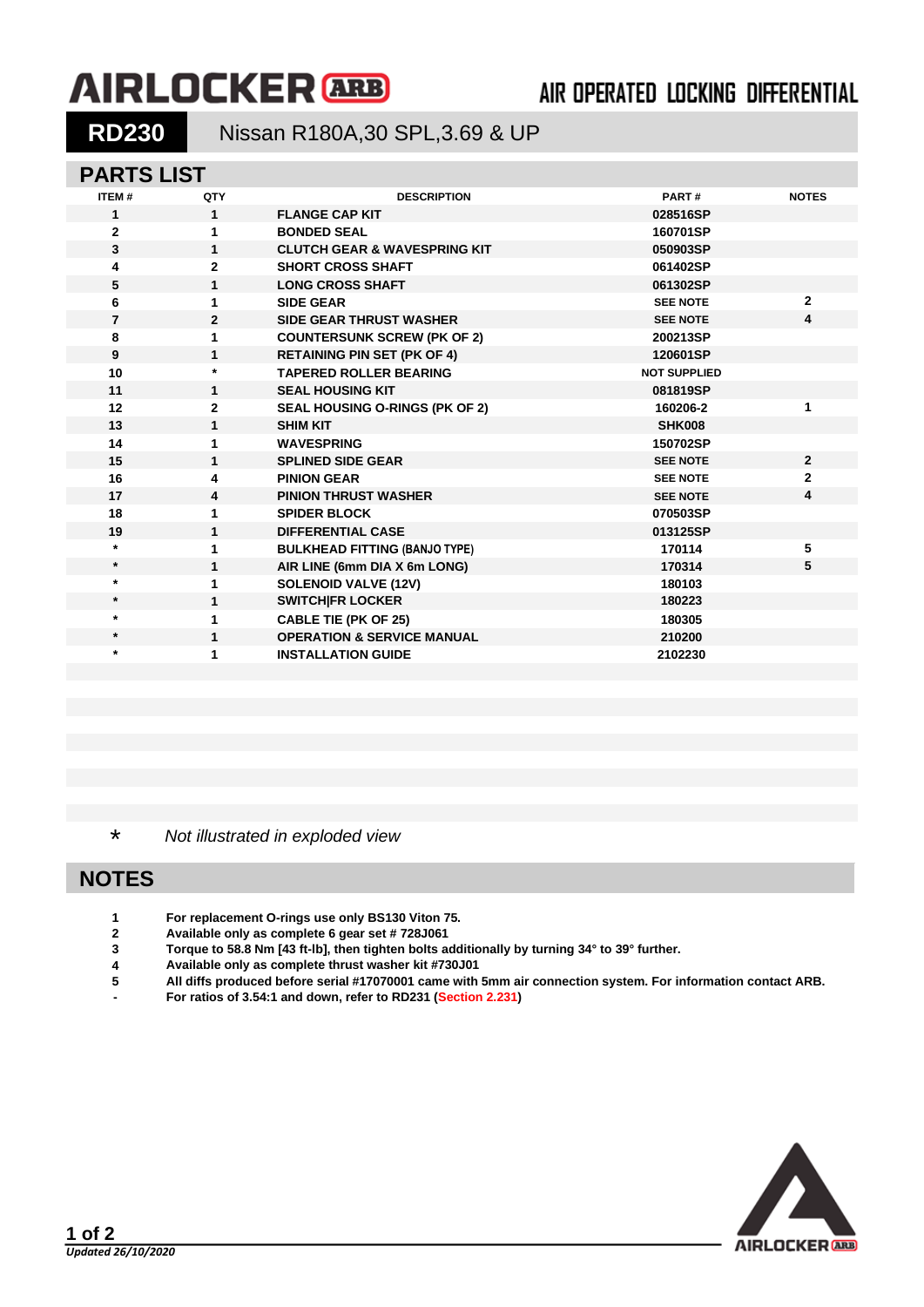# **AIRLOCKER** ARB

# AIR OPERATED LOCKING DIFFERENTIAL

## **RD230** Nissan R180A,30 SPL,3.69 & UP

#### **PARTS LIST**

| ITEM#          | QTY            | <b>DESCRIPTION</b>                      | PART#               | <b>NOTES</b> |
|----------------|----------------|-----------------------------------------|---------------------|--------------|
| $\mathbf{1}$   | $\mathbf{1}$   | <b>FLANGE CAP KIT</b>                   | 028516SP            |              |
| $\mathbf{2}$   | 1              | <b>BONDED SEAL</b>                      | 160701SP            |              |
| 3              | 1              | <b>CLUTCH GEAR &amp; WAVESPRING KIT</b> | 050903SP            |              |
| 4              | $\mathbf{2}$   | <b>SHORT CROSS SHAFT</b>                | 061402SP            |              |
| 5              | $\mathbf{1}$   | <b>LONG CROSS SHAFT</b>                 | 061302SP            |              |
| 6              | 1              | <b>SIDE GEAR</b>                        | <b>SEE NOTE</b>     | $\mathbf{2}$ |
| $\overline{7}$ | $\overline{2}$ | <b>SIDE GEAR THRUST WASHER</b>          | <b>SEE NOTE</b>     | 4            |
| 8              | 1              | <b>COUNTERSUNK SCREW (PK OF 2)</b>      | 200213SP            |              |
| 9              | $\mathbf{1}$   | <b>RETAINING PIN SET (PK OF 4)</b>      | 120601SP            |              |
| 10             | $\star$        | <b>TAPERED ROLLER BEARING</b>           | <b>NOT SUPPLIED</b> |              |
| 11             | 1              | <b>SEAL HOUSING KIT</b>                 | 081819SP            |              |
| 12             | $\mathbf{2}$   | SEAL HOUSING O-RINGS (PK OF 2)          | 160206-2            | 1            |
| 13             | 1              | <b>SHIM KIT</b>                         | <b>SHK008</b>       |              |
| 14             | 1              | <b>WAVESPRING</b>                       | 150702SP            |              |
| 15             | 1              | <b>SPLINED SIDE GEAR</b>                | <b>SEE NOTE</b>     | $\mathbf{2}$ |
| 16             | 4              | <b>PINION GEAR</b>                      | <b>SEE NOTE</b>     | $\mathbf{2}$ |
| 17             | 4              | <b>PINION THRUST WASHER</b>             | <b>SEE NOTE</b>     | 4            |
| 18             | 1              | <b>SPIDER BLOCK</b>                     | 070503SP            |              |
| 19             | $\mathbf{1}$   | <b>DIFFERENTIAL CASE</b>                | 013125SP            |              |
| $\star$        | 1              | <b>BULKHEAD FITTING (BANJO TYPE)</b>    | 170114              | 5            |
| $\star$        | $\mathbf{1}$   | AIR LINE (6mm DIA X 6m LONG)            | 170314              | 5            |
| $\star$        | 1              | <b>SOLENOID VALVE (12V)</b>             | 180103              |              |
| $\star$        | 1              | <b>SWITCH FR LOCKER</b>                 | 180223              |              |
| $\star$        | 1              | <b>CABLE TIE (PK OF 25)</b>             | 180305              |              |
| $\star$        | 1              | <b>OPERATION &amp; SERVICE MANUAL</b>   | 210200              |              |
| $\star$        | 1              | <b>INSTALLATION GUIDE</b>               | 2102230             |              |
|                |                |                                         |                     |              |

\* *Not illustrated in exploded view*

### **NOTES**

- **1 For replacement O-rings use only BS130 Viton 75.**
- **2 Available only as complete 6 gear set # 728J061**
- **3 Torque to 58.8 Nm [43 ft-lb], then tighten bolts additionally by turning 34° to 39° further.**
- **4 Available only as complete thrust washer kit #730J01**
- **5 All diffs produced before serial #17070001 came with 5mm air connection system. For information contact ARB.**
- **- For ratios of 3.54:1 and down, refer to RD231 [\(Section 2.231\)](2-RD231.PDF)**